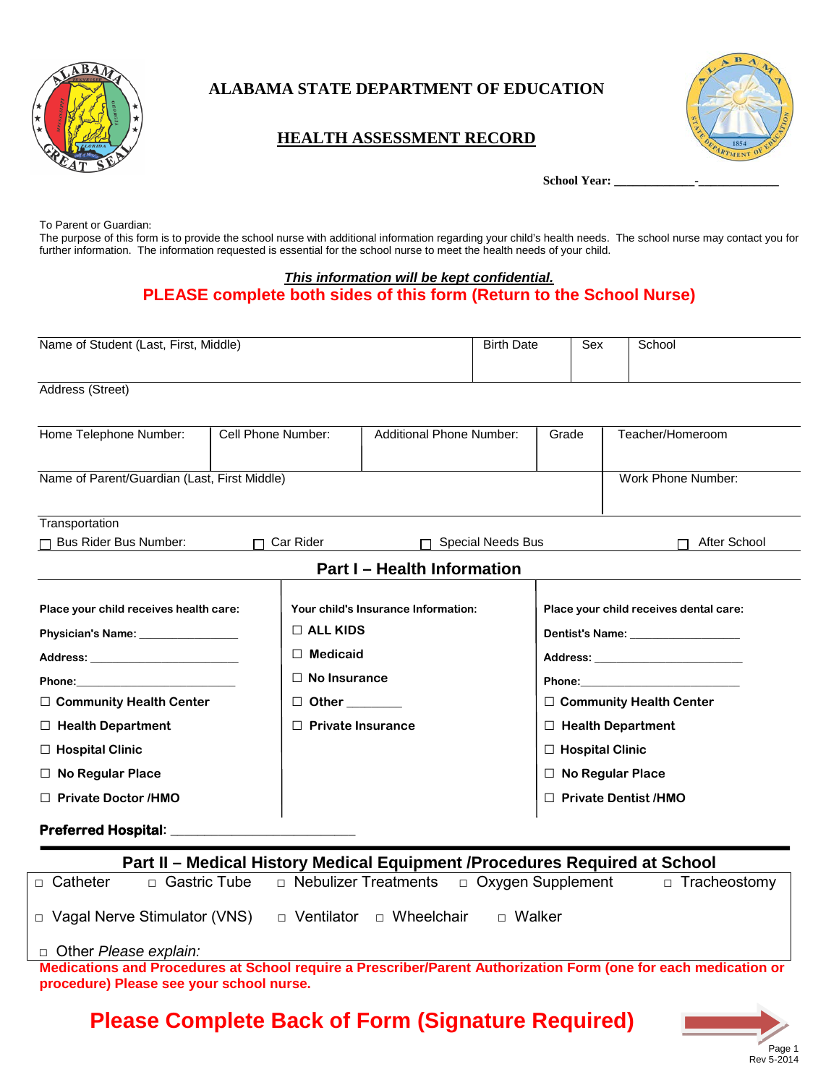

## **ALABAMA STATE DEPARTMENT OF EDUCATION**

### **HEALTH ASSESSMENT RECORD**



School Year:

To Parent or Guardian:

The purpose of this form is to provide the school nurse with additional information regarding your child's health needs. The school nurse may contact you for further information. The information requested is essential for the school nurse to meet the health needs of your child.

#### *This information will be kept confidential.* **PLEASE complete both sides of this form (Return to the School Nurse)**

| Name of Student (Last, First, Middle)        |                    |                               |                                     | <b>Birth Date</b>        | Sex                    |                    | School                                 |
|----------------------------------------------|--------------------|-------------------------------|-------------------------------------|--------------------------|------------------------|--------------------|----------------------------------------|
| Address (Street)                             |                    |                               |                                     |                          |                        |                    |                                        |
| Home Telephone Number:                       | Cell Phone Number: |                               | <b>Additional Phone Number:</b>     |                          | Grade                  |                    | Teacher/Homeroom                       |
| Name of Parent/Guardian (Last, First Middle) |                    |                               |                                     |                          |                        | Work Phone Number: |                                        |
| Transportation<br>Bus Rider Bus Number:      |                    | Car Rider                     |                                     | <b>Special Needs Bus</b> |                        |                    | After School                           |
|                                              |                    |                               | <b>Part I - Health Information</b>  |                          |                        |                    |                                        |
| Place your child receives health care:       |                    |                               | Your child's Insurance Information: |                          |                        |                    | Place your child receives dental care: |
| Physician's Name: ________________           |                    | $\Box$ ALL KIDS               |                                     |                          |                        |                    | Dentist's Name: __________________     |
| Address: No. 1996. Address:                  |                    | П                             | <b>Medicaid</b>                     |                          |                        |                    |                                        |
| Phone: Note: Note: No. 2014                  |                    | $\Box$ No Insurance           |                                     |                          |                        |                    |                                        |
| □ Community Health Center                    |                    |                               |                                     |                          |                        |                    | □ Community Health Center              |
| $\Box$ Health Department                     |                    | <b>Private Insurance</b><br>П |                                     |                          |                        |                    | $\Box$ Health Department               |
| $\Box$ Hospital Clinic                       |                    |                               |                                     |                          | $\Box$ Hospital Clinic |                    |                                        |
| $\Box$ No Regular Place                      |                    |                               |                                     |                          |                        |                    | $\Box$ No Regular Place                |
| $\Box$ Private Doctor /HMO                   |                    |                               |                                     |                          |                        |                    | $\Box$ Private Dentist /HMO            |
| <b>Preferred Hospital:</b>                   |                    |                               |                                     |                          |                        |                    |                                        |

| Part II - Medical History Medical Equipment / Procedures Required at School |                                     |                                                                                                                 |                     |  |  |  |  |  |
|-----------------------------------------------------------------------------|-------------------------------------|-----------------------------------------------------------------------------------------------------------------|---------------------|--|--|--|--|--|
| $\Box$ Catheter                                                             |                                     | $\Box$ Gastric Tube $\Box$ Nebulizer Treatments $\Box$ Oxygen Supplement                                        | $\Box$ Tracheostomy |  |  |  |  |  |
|                                                                             | $\Box$ Vagal Nerve Stimulator (VNS) | □ Wheelchair<br>□ Ventilator<br>□ Walker                                                                        |                     |  |  |  |  |  |
|                                                                             | □ Other Please explain:             |                                                                                                                 |                     |  |  |  |  |  |
|                                                                             |                                     | Medications and Procedures at School require a Prescriber/Parent Authorization Form (one for each medication or |                     |  |  |  |  |  |
| procedure) Please see your school nurse.                                    |                                     |                                                                                                                 |                     |  |  |  |  |  |

 **Please Complete Back of Form (Signature Required)** 

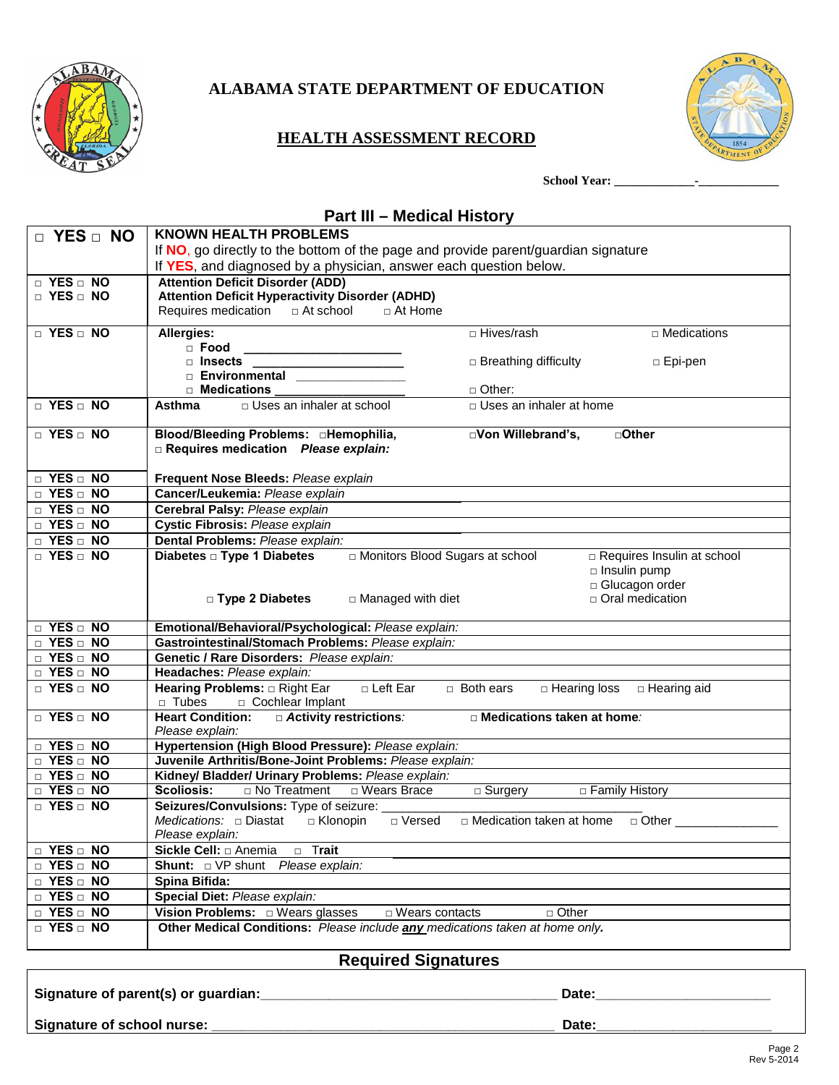

## **ALABAMA STATE DEPARTMENT OF EDUCATION**

### **HEALTH ASSESSMENT RECORD**



**School Year: \_\_\_\_\_\_\_\_\_\_\_\_\_-\_\_\_\_\_\_\_\_\_\_\_\_\_**

### **Part III – Medical History**

| $\Box$ YES $\Box$ NO | <b>KNOWN HEALTH PROBLEMS</b>                                                                                                    |                                                   |  |  |  |
|----------------------|---------------------------------------------------------------------------------------------------------------------------------|---------------------------------------------------|--|--|--|
|                      | If NO, go directly to the bottom of the page and provide parent/guardian signature                                              |                                                   |  |  |  |
|                      | If YES, and diagnosed by a physician, answer each question below.                                                               |                                                   |  |  |  |
| $\Box$ YES $\Box$ NO | <b>Attention Deficit Disorder (ADD)</b>                                                                                         |                                                   |  |  |  |
| D YES D NO           | <b>Attention Deficit Hyperactivity Disorder (ADHD)</b>                                                                          |                                                   |  |  |  |
|                      | $\Box$ At Home                                                                                                                  |                                                   |  |  |  |
| D YES D NO           | Allergies:                                                                                                                      | □ Hives/rash<br>□ Medications                     |  |  |  |
|                      | $\Box$ Food<br><u> The Communication of the Communication of the Communication of the Communication of the Communication of</u> |                                                   |  |  |  |
|                      |                                                                                                                                 | $\Box$ Breathing difficulty<br>□ Epi-pen          |  |  |  |
|                      | □ Insects<br>□ Environmental                                                                                                    |                                                   |  |  |  |
|                      | □ Medications ___________________<br>$\Box$ Other:                                                                              |                                                   |  |  |  |
| $\Box$ YES $\Box$ NO | □ Uses an inhaler at school<br>Asthma                                                                                           | □ Uses an inhaler at home                         |  |  |  |
| D YES D NO           | Blood/Bleeding Problems: <b>DHemophilia</b> ,                                                                                   | DVon Willebrand's,<br>□ Other                     |  |  |  |
|                      | Requires medication Please explain:                                                                                             |                                                   |  |  |  |
|                      |                                                                                                                                 |                                                   |  |  |  |
| $\Box$ YES $\Box$ NO | Frequent Nose Bleeds: Please explain                                                                                            |                                                   |  |  |  |
| D YES D NO           | Cancer/Leukemia: Please explain                                                                                                 |                                                   |  |  |  |
| D YES D NO           | Cerebral Palsy: Please explain                                                                                                  |                                                   |  |  |  |
| D YES D NO           | Cystic Fibrosis: Please explain                                                                                                 |                                                   |  |  |  |
| D YES D NO           | Dental Problems: Please explain:                                                                                                |                                                   |  |  |  |
| D YES D NO           | Diabetes □ Type 1 Diabetes<br>In Monitors Blood Sugars at school                                                                | Requires Insulin at school                        |  |  |  |
|                      |                                                                                                                                 | □ Insulin pump<br>Glucagon order                  |  |  |  |
|                      | □ Type 2 Diabetes<br>$\Box$ Managed with diet                                                                                   | □ Oral medication                                 |  |  |  |
|                      |                                                                                                                                 |                                                   |  |  |  |
| $\Box$ YES $\Box$ NO | Emotional/Behavioral/Psychological: Please explain:                                                                             |                                                   |  |  |  |
| D YES D NO           | Gastrointestinal/Stomach Problems: Please explain:                                                                              |                                                   |  |  |  |
| D YES D NO           | Genetic / Rare Disorders: Please explain:                                                                                       |                                                   |  |  |  |
| D YES D NO           | Headaches: Please explain:                                                                                                      |                                                   |  |  |  |
| $\Box$ YES $\Box$ NO | □ Left Ear<br>Hearing Problems: $\Box$ Right Ear<br>$\Box$ Both ears                                                            | □ Hearing loss<br>$\Box$ Hearing aid              |  |  |  |
|                      | $\Box$ Tubes<br>□ Cochlear Implant                                                                                              |                                                   |  |  |  |
| D YES D NO           | <b>Heart Condition:</b><br><b>Activity restrictions:</b>                                                                        | <b>D</b> Medications taken at home:               |  |  |  |
| $\Box$ YES $\Box$ NO | Please explain:                                                                                                                 |                                                   |  |  |  |
| D YES D NO           | Hypertension (High Blood Pressure): Please explain:<br>Juvenile Arthritis/Bone-Joint Problems: Please explain:                  |                                                   |  |  |  |
| D YES D NO           | Kidney/ Bladder/ Urinary Problems: Please explain:                                                                              |                                                   |  |  |  |
| $\Box$ YES $\Box$ NO | No Treatment<br><b>Scoliosis:</b><br>□ Wears Brace                                                                              | $\overline{\Box}$ Surgery<br>□ Family History     |  |  |  |
| D YES D NO           | Seizures/Convulsions: Type of seizure:                                                                                          |                                                   |  |  |  |
|                      | <i>Medications:</i> $\Box$ Diastat $\Box$ Klonopin<br>□ Versed                                                                  | □ Medication taken at home<br>$\Box$ Other $\Box$ |  |  |  |
|                      | Please explain:                                                                                                                 |                                                   |  |  |  |
| $\Box$ YES $\Box$ NO | Sickle Cell: □ Anemia<br>□ Trait                                                                                                |                                                   |  |  |  |
| $\Box$ YES $\Box$ NO | Shunt: DVP shunt Please explain:                                                                                                |                                                   |  |  |  |
| D YES D NO           | Spina Bifida:                                                                                                                   |                                                   |  |  |  |
| $\Box$ YES $\Box$ NO | Special Diet: Please explain:                                                                                                   |                                                   |  |  |  |
| $\Box$ YES $\Box$ NO | $\Box$ Wears contacts<br>$\Box$ Other                                                                                           |                                                   |  |  |  |
| $\Box$ YES $\Box$ NO | Other Medical Conditions: Please include any medications taken at home only.                                                    |                                                   |  |  |  |
|                      |                                                                                                                                 |                                                   |  |  |  |

### **Required Signatures**

**Signature of parent(s) or guardian:\_\_\_\_\_\_\_\_\_\_\_\_\_\_\_\_\_\_\_\_\_\_\_\_\_\_\_\_\_\_\_\_\_\_\_\_\_\_\_ Date:\_\_\_\_\_\_\_\_\_\_\_\_\_\_\_\_\_\_\_\_\_\_\_**

**Signature of school nurse: \_\_\_\_\_\_\_\_\_\_\_\_\_\_\_\_\_\_\_\_\_\_\_\_\_\_\_\_\_\_\_\_\_\_\_\_\_\_\_\_\_\_\_\_\_ Date:\_\_\_\_\_\_\_\_\_\_\_\_\_\_\_\_\_\_\_\_\_\_\_**